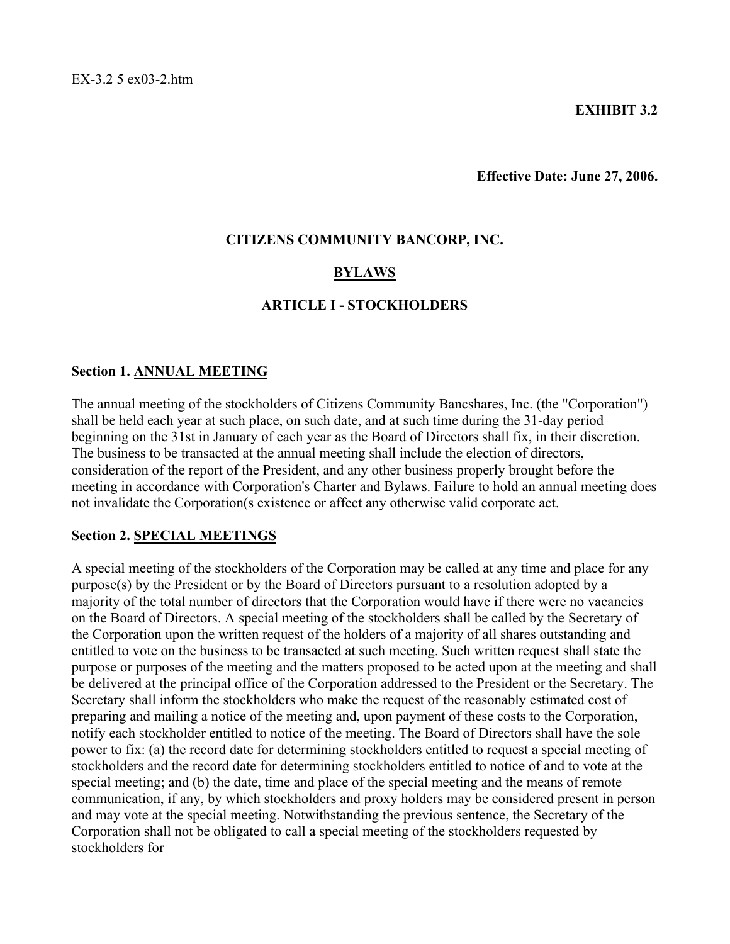### **EXHIBIT 3.2**

**Effective Date: June 27, 2006.**

#### **CITIZENS COMMUNITY BANCORP, INC.**

### **BYLAWS**

#### **ARTICLE I - STOCKHOLDERS**

#### **Section 1. ANNUAL MEETING**

The annual meeting of the stockholders of Citizens Community Bancshares, Inc. (the "Corporation") shall be held each year at such place, on such date, and at such time during the 31-day period beginning on the 31st in January of each year as the Board of Directors shall fix, in their discretion. The business to be transacted at the annual meeting shall include the election of directors, consideration of the report of the President, and any other business properly brought before the meeting in accordance with Corporation's Charter and Bylaws. Failure to hold an annual meeting does not invalidate the Corporation(s existence or affect any otherwise valid corporate act.

#### **Section 2. SPECIAL MEETINGS**

A special meeting of the stockholders of the Corporation may be called at any time and place for any purpose(s) by the President or by the Board of Directors pursuant to a resolution adopted by a majority of the total number of directors that the Corporation would have if there were no vacancies on the Board of Directors. A special meeting of the stockholders shall be called by the Secretary of the Corporation upon the written request of the holders of a majority of all shares outstanding and entitled to vote on the business to be transacted at such meeting. Such written request shall state the purpose or purposes of the meeting and the matters proposed to be acted upon at the meeting and shall be delivered at the principal office of the Corporation addressed to the President or the Secretary. The Secretary shall inform the stockholders who make the request of the reasonably estimated cost of preparing and mailing a notice of the meeting and, upon payment of these costs to the Corporation, notify each stockholder entitled to notice of the meeting. The Board of Directors shall have the sole power to fix: (a) the record date for determining stockholders entitled to request a special meeting of stockholders and the record date for determining stockholders entitled to notice of and to vote at the special meeting; and (b) the date, time and place of the special meeting and the means of remote communication, if any, by which stockholders and proxy holders may be considered present in person and may vote at the special meeting. Notwithstanding the previous sentence, the Secretary of the Corporation shall not be obligated to call a special meeting of the stockholders requested by stockholders for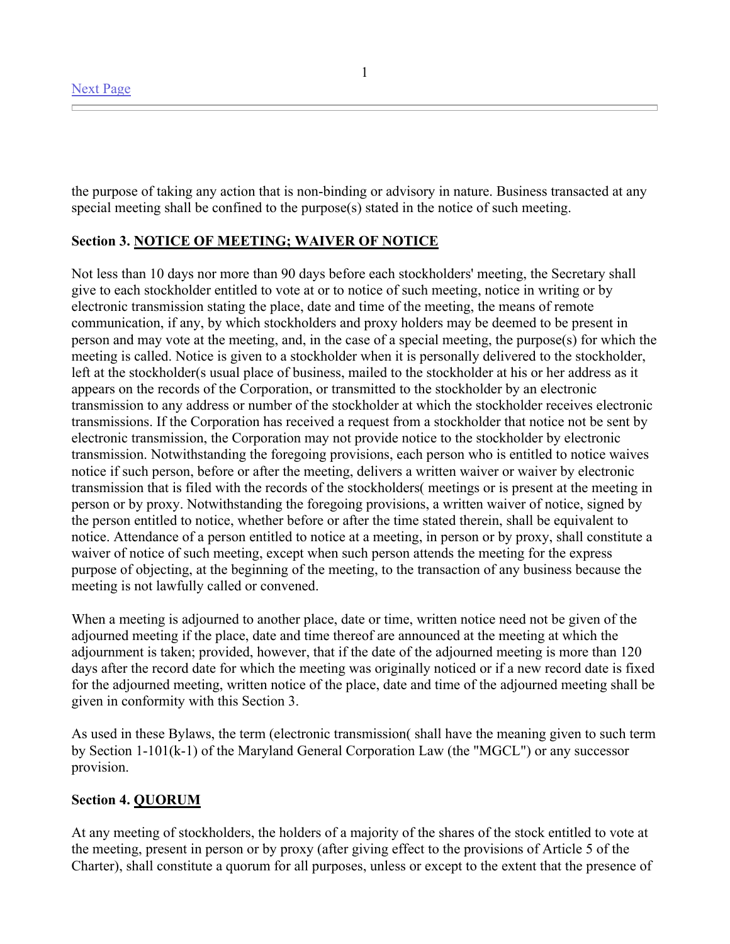the purpose of taking any action that is non-binding or advisory in nature. Business transacted at any special meeting shall be confined to the purpose(s) stated in the notice of such meeting.

### **Section 3. NOTICE OF MEETING; WAIVER OF NOTICE**

Not less than 10 days nor more than 90 days before each stockholders' meeting, the Secretary shall give to each stockholder entitled to vote at or to notice of such meeting, notice in writing or by electronic transmission stating the place, date and time of the meeting, the means of remote communication, if any, by which stockholders and proxy holders may be deemed to be present in person and may vote at the meeting, and, in the case of a special meeting, the purpose(s) for which the meeting is called. Notice is given to a stockholder when it is personally delivered to the stockholder, left at the stockholder(s usual place of business, mailed to the stockholder at his or her address as it appears on the records of the Corporation, or transmitted to the stockholder by an electronic transmission to any address or number of the stockholder at which the stockholder receives electronic transmissions. If the Corporation has received a request from a stockholder that notice not be sent by electronic transmission, the Corporation may not provide notice to the stockholder by electronic transmission. Notwithstanding the foregoing provisions, each person who is entitled to notice waives notice if such person, before or after the meeting, delivers a written waiver or waiver by electronic transmission that is filed with the records of the stockholders( meetings or is present at the meeting in person or by proxy. Notwithstanding the foregoing provisions, a written waiver of notice, signed by the person entitled to notice, whether before or after the time stated therein, shall be equivalent to notice. Attendance of a person entitled to notice at a meeting, in person or by proxy, shall constitute a waiver of notice of such meeting, except when such person attends the meeting for the express purpose of objecting, at the beginning of the meeting, to the transaction of any business because the meeting is not lawfully called or convened.

When a meeting is adjourned to another place, date or time, written notice need not be given of the adjourned meeting if the place, date and time thereof are announced at the meeting at which the adjournment is taken; provided, however, that if the date of the adjourned meeting is more than 120 days after the record date for which the meeting was originally noticed or if a new record date is fixed for the adjourned meeting, written notice of the place, date and time of the adjourned meeting shall be given in conformity with this Section 3.

As used in these Bylaws, the term (electronic transmission( shall have the meaning given to such term by Section 1-101(k-1) of the Maryland General Corporation Law (the "MGCL") or any successor provision.

### **Section 4. QUORUM**

At any meeting of stockholders, the holders of a majority of the shares of the stock entitled to vote at the meeting, present in person or by proxy (after giving effect to the provisions of Article 5 of the Charter), shall constitute a quorum for all purposes, unless or except to the extent that the presence of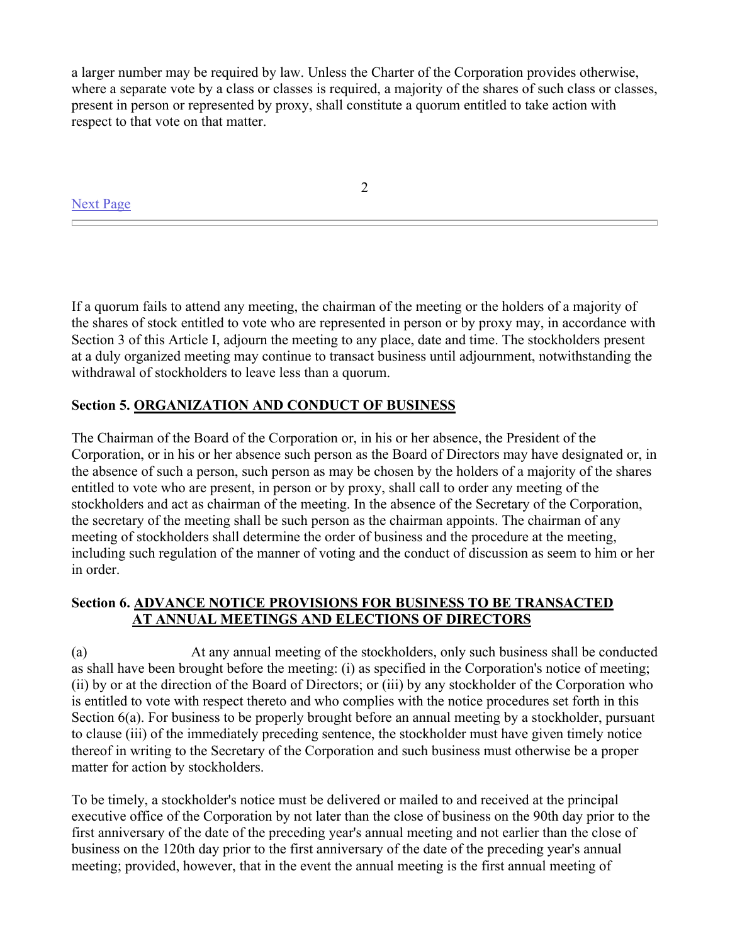a larger number may be required by law. Unless the Charter of the Corporation provides otherwise, where a separate vote by a class or classes is required, a majority of the shares of such class or classes, present in person or represented by proxy, shall constitute a quorum entitled to take action with respect to that vote on that matter.

Next Page

2

If a quorum fails to attend any meeting, the chairman of the meeting or the holders of a majority of the shares of stock entitled to vote who are represented in person or by proxy may, in accordance with Section 3 of this Article I, adjourn the meeting to any place, date and time. The stockholders present at a duly organized meeting may continue to transact business until adjournment, notwithstanding the withdrawal of stockholders to leave less than a quorum.

# **Section 5. ORGANIZATION AND CONDUCT OF BUSINESS**

The Chairman of the Board of the Corporation or, in his or her absence, the President of the Corporation, or in his or her absence such person as the Board of Directors may have designated or, in the absence of such a person, such person as may be chosen by the holders of a majority of the shares entitled to vote who are present, in person or by proxy, shall call to order any meeting of the stockholders and act as chairman of the meeting. In the absence of the Secretary of the Corporation, the secretary of the meeting shall be such person as the chairman appoints. The chairman of any meeting of stockholders shall determine the order of business and the procedure at the meeting, including such regulation of the manner of voting and the conduct of discussion as seem to him or her in order.

# **Section 6. ADVANCE NOTICE PROVISIONS FOR BUSINESS TO BE TRANSACTED AT ANNUAL MEETINGS AND ELECTIONS OF DIRECTORS**

(a) At any annual meeting of the stockholders, only such business shall be conducted as shall have been brought before the meeting: (i) as specified in the Corporation's notice of meeting; (ii) by or at the direction of the Board of Directors; or (iii) by any stockholder of the Corporation who is entitled to vote with respect thereto and who complies with the notice procedures set forth in this Section 6(a). For business to be properly brought before an annual meeting by a stockholder, pursuant to clause (iii) of the immediately preceding sentence, the stockholder must have given timely notice thereof in writing to the Secretary of the Corporation and such business must otherwise be a proper matter for action by stockholders.

To be timely, a stockholder's notice must be delivered or mailed to and received at the principal executive office of the Corporation by not later than the close of business on the 90th day prior to the first anniversary of the date of the preceding year's annual meeting and not earlier than the close of business on the 120th day prior to the first anniversary of the date of the preceding year's annual meeting; provided, however, that in the event the annual meeting is the first annual meeting of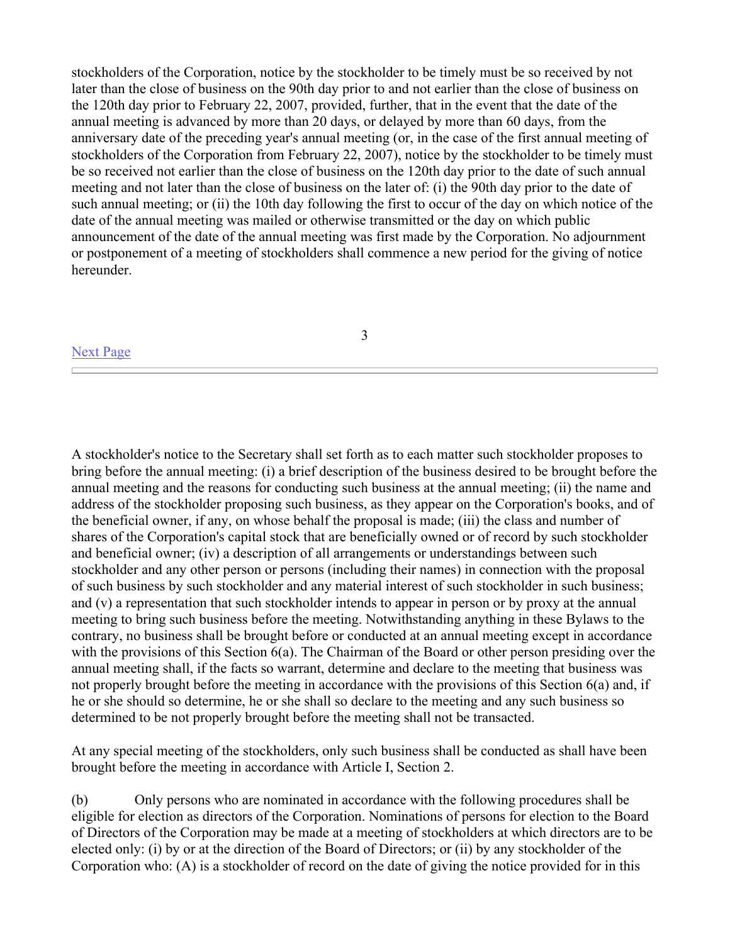stockholders of the Corporation, notice by the stockholder to be timely must be so received by not later than the close of business on the 90th day prior to and not earlier than the close of business on the 120th day prior to February 22, 2007, provided, further, that in the event that the date of the annual meeting is advanced by more than 20 days, or delayed by more than 60 days, from the anniversary date of the preceding year's annual meeting (or, in the case of the first annual meeting of stockholders of the Corporation from February 22, 2007), notice by the stockholder to be timely must be so received not earlier than the close of business on the 120th day prior to the date of such annual meeting and not later than the close of business on the later of: (i) the 90th day prior to the date of such annual meeting; or (ii) the 10th day following the first to occur of the day on which notice of the date of the annual meeting was mailed or otherwise transmitted or the day on which public announcement of the date of the annual meeting was first made by the Corporation. No adjournment or postponement of a meeting of stockholders shall commence a new period for the giving of notice hereunder.

### Next Page

3

A stockholder's notice to the Secretary shall set forth as to each matter such stockholder proposes to bring before the annual meeting: (i) a brief description of the business desired to be brought before the annual meeting and the reasons for conducting such business at the annual meeting; (ii) the name and address of the stockholder proposing such business, as they appear on the Corporation's books, and of the beneficial owner, if any, on whose behalf the proposal is made; (iii) the class and number of shares of the Corporation's capital stock that are beneficially owned or of record by such stockholder and beneficial owner; (iv) a description of all arrangements or understandings between such stockholder and any other person or persons (including their names) in connection with the proposal of such business by such stockholder and any material interest of such stockholder in such business; and (v) a representation that such stockholder intends to appear in person or by proxy at the annual meeting to bring such business before the meeting. Notwithstanding anything in these Bylaws to the contrary, no business shall be brought before or conducted at an annual meeting except in accordance with the provisions of this Section 6(a). The Chairman of the Board or other person presiding over the annual meeting shall, if the facts so warrant, determine and declare to the meeting that business was not properly brought before the meeting in accordance with the provisions of this Section 6(a) and, if he or she should so determine, he or she shall so declare to the meeting and any such business so determined to be not properly brought before the meeting shall not be transacted.

At any special meeting of the stockholders, only such business shall be conducted as shall have been brought before the meeting in accordance with Article I, Section 2.

(b) Only persons who are nominated in accordance with the following procedures shall be eligible for election as directors of the Corporation. Nominations of persons for election to the Board of Directors of the Corporation may be made at a meeting of stockholders at which directors are to be elected only: (i) by or at the direction of the Board of Directors; or (ii) by any stockholder of the Corporation who: (A) is a stockholder of record on the date of giving the notice provided for in this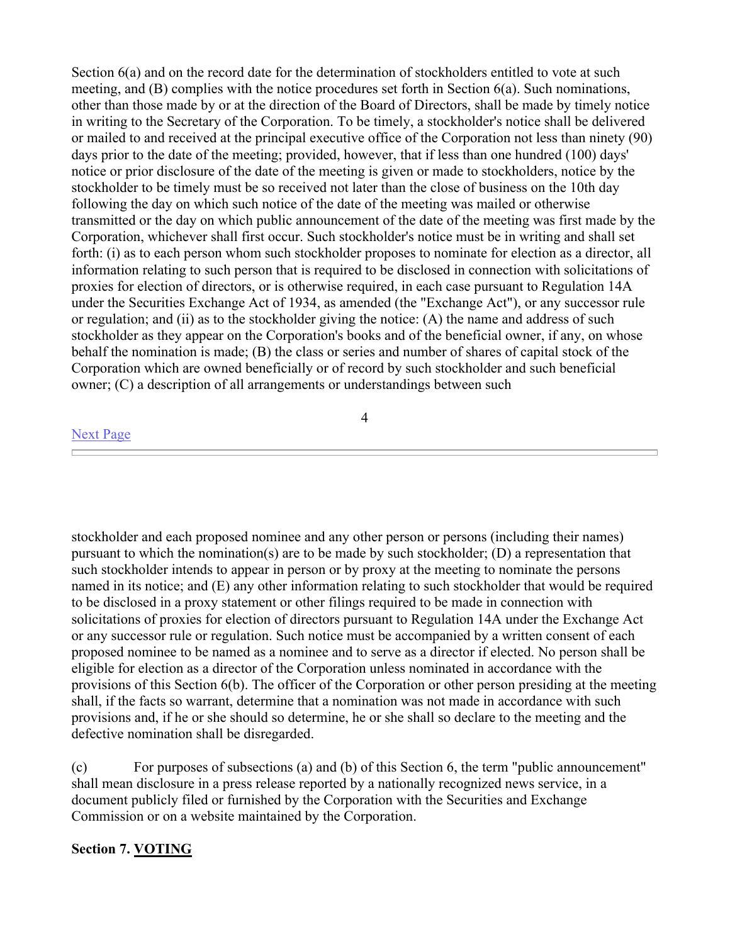Section 6(a) and on the record date for the determination of stockholders entitled to vote at such meeting, and (B) complies with the notice procedures set forth in Section 6(a). Such nominations, other than those made by or at the direction of the Board of Directors, shall be made by timely notice in writing to the Secretary of the Corporation. To be timely, a stockholder's notice shall be delivered or mailed to and received at the principal executive office of the Corporation not less than ninety (90) days prior to the date of the meeting; provided, however, that if less than one hundred (100) days' notice or prior disclosure of the date of the meeting is given or made to stockholders, notice by the stockholder to be timely must be so received not later than the close of business on the 10th day following the day on which such notice of the date of the meeting was mailed or otherwise transmitted or the day on which public announcement of the date of the meeting was first made by the Corporation, whichever shall first occur. Such stockholder's notice must be in writing and shall set forth: (i) as to each person whom such stockholder proposes to nominate for election as a director, all information relating to such person that is required to be disclosed in connection with solicitations of proxies for election of directors, or is otherwise required, in each case pursuant to Regulation 14A under the Securities Exchange Act of 1934, as amended (the "Exchange Act"), or any successor rule or regulation; and (ii) as to the stockholder giving the notice: (A) the name and address of such stockholder as they appear on the Corporation's books and of the beneficial owner, if any, on whose behalf the nomination is made; (B) the class or series and number of shares of capital stock of the Corporation which are owned beneficially or of record by such stockholder and such beneficial owner; (C) a description of all arrangements or understandings between such

#### Next Page

4

stockholder and each proposed nominee and any other person or persons (including their names) pursuant to which the nomination(s) are to be made by such stockholder; (D) a representation that such stockholder intends to appear in person or by proxy at the meeting to nominate the persons named in its notice; and (E) any other information relating to such stockholder that would be required to be disclosed in a proxy statement or other filings required to be made in connection with solicitations of proxies for election of directors pursuant to Regulation 14A under the Exchange Act or any successor rule or regulation. Such notice must be accompanied by a written consent of each proposed nominee to be named as a nominee and to serve as a director if elected. No person shall be eligible for election as a director of the Corporation unless nominated in accordance with the provisions of this Section 6(b). The officer of the Corporation or other person presiding at the meeting shall, if the facts so warrant, determine that a nomination was not made in accordance with such provisions and, if he or she should so determine, he or she shall so declare to the meeting and the defective nomination shall be disregarded.

(c) For purposes of subsections (a) and (b) of this Section 6, the term "public announcement" shall mean disclosure in a press release reported by a nationally recognized news service, in a document publicly filed or furnished by the Corporation with the Securities and Exchange Commission or on a website maintained by the Corporation.

# **Section 7. VOTING**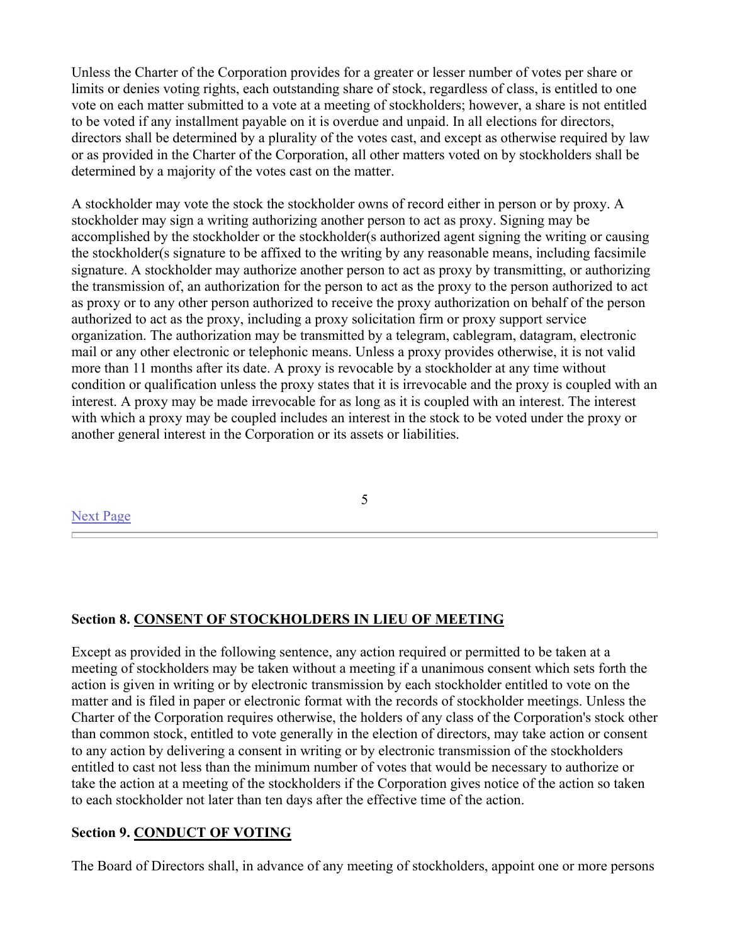Unless the Charter of the Corporation provides for a greater or lesser number of votes per share or limits or denies voting rights, each outstanding share of stock, regardless of class, is entitled to one vote on each matter submitted to a vote at a meeting of stockholders; however, a share is not entitled to be voted if any installment payable on it is overdue and unpaid. In all elections for directors, directors shall be determined by a plurality of the votes cast, and except as otherwise required by law or as provided in the Charter of the Corporation, all other matters voted on by stockholders shall be determined by a majority of the votes cast on the matter.

A stockholder may vote the stock the stockholder owns of record either in person or by proxy. A stockholder may sign a writing authorizing another person to act as proxy. Signing may be accomplished by the stockholder or the stockholder(s authorized agent signing the writing or causing the stockholder(s signature to be affixed to the writing by any reasonable means, including facsimile signature. A stockholder may authorize another person to act as proxy by transmitting, or authorizing the transmission of, an authorization for the person to act as the proxy to the person authorized to act as proxy or to any other person authorized to receive the proxy authorization on behalf of the person authorized to act as the proxy, including a proxy solicitation firm or proxy support service organization. The authorization may be transmitted by a telegram, cablegram, datagram, electronic mail or any other electronic or telephonic means. Unless a proxy provides otherwise, it is not valid more than 11 months after its date. A proxy is revocable by a stockholder at any time without condition or qualification unless the proxy states that it is irrevocable and the proxy is coupled with an interest. A proxy may be made irrevocable for as long as it is coupled with an interest. The interest with which a proxy may be coupled includes an interest in the stock to be voted under the proxy or another general interest in the Corporation or its assets or liabilities.

### Next Page

5

# **Section 8. CONSENT OF STOCKHOLDERS IN LIEU OF MEETING**

Except as provided in the following sentence, any action required or permitted to be taken at a meeting of stockholders may be taken without a meeting if a unanimous consent which sets forth the action is given in writing or by electronic transmission by each stockholder entitled to vote on the matter and is filed in paper or electronic format with the records of stockholder meetings. Unless the Charter of the Corporation requires otherwise, the holders of any class of the Corporation's stock other than common stock, entitled to vote generally in the election of directors, may take action or consent to any action by delivering a consent in writing or by electronic transmission of the stockholders entitled to cast not less than the minimum number of votes that would be necessary to authorize or take the action at a meeting of the stockholders if the Corporation gives notice of the action so taken to each stockholder not later than ten days after the effective time of the action.

### **Section 9. CONDUCT OF VOTING**

The Board of Directors shall, in advance of any meeting of stockholders, appoint one or more persons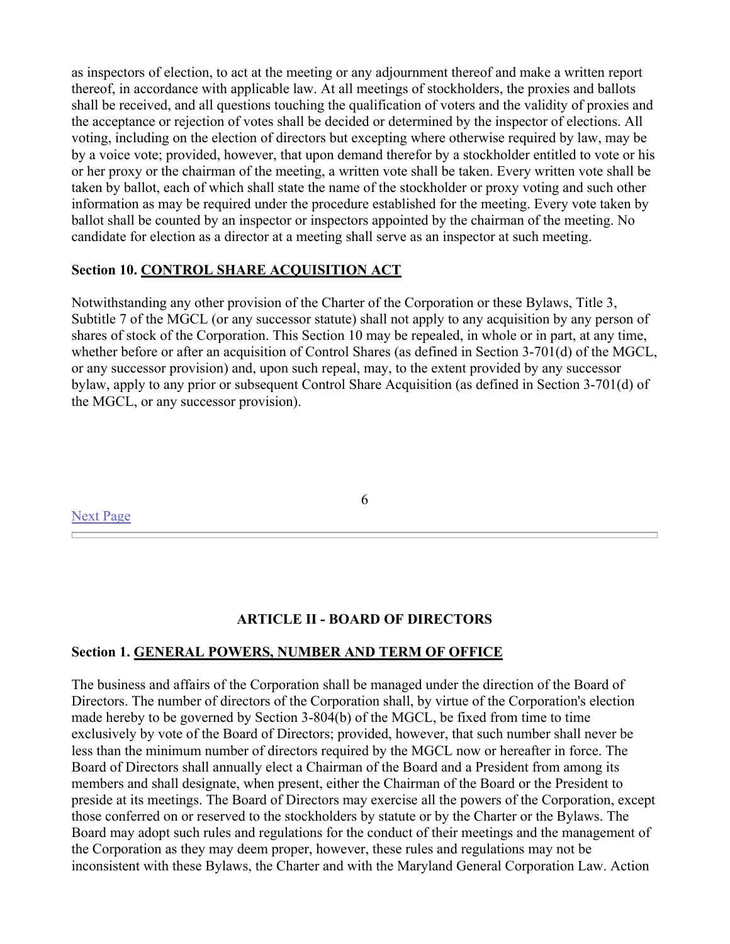as inspectors of election, to act at the meeting or any adjournment thereof and make a written report thereof, in accordance with applicable law. At all meetings of stockholders, the proxies and ballots shall be received, and all questions touching the qualification of voters and the validity of proxies and the acceptance or rejection of votes shall be decided or determined by the inspector of elections. All voting, including on the election of directors but excepting where otherwise required by law, may be by a voice vote; provided, however, that upon demand therefor by a stockholder entitled to vote or his or her proxy or the chairman of the meeting, a written vote shall be taken. Every written vote shall be taken by ballot, each of which shall state the name of the stockholder or proxy voting and such other information as may be required under the procedure established for the meeting. Every vote taken by ballot shall be counted by an inspector or inspectors appointed by the chairman of the meeting. No candidate for election as a director at a meeting shall serve as an inspector at such meeting.

# **Section 10. CONTROL SHARE ACQUISITION ACT**

Notwithstanding any other provision of the Charter of the Corporation or these Bylaws, Title 3, Subtitle 7 of the MGCL (or any successor statute) shall not apply to any acquisition by any person of shares of stock of the Corporation. This Section 10 may be repealed, in whole or in part, at any time, whether before or after an acquisition of Control Shares (as defined in Section 3-701(d) of the MGCL, or any successor provision) and, upon such repeal, may, to the extent provided by any successor bylaw, apply to any prior or subsequent Control Share Acquisition (as defined in Section 3-701(d) of the MGCL, or any successor provision).

Next Page

6

# **ARTICLE II - BOARD OF DIRECTORS**

### **Section 1. GENERAL POWERS, NUMBER AND TERM OF OFFICE**

The business and affairs of the Corporation shall be managed under the direction of the Board of Directors. The number of directors of the Corporation shall, by virtue of the Corporation's election made hereby to be governed by Section 3-804(b) of the MGCL, be fixed from time to time exclusively by vote of the Board of Directors; provided, however, that such number shall never be less than the minimum number of directors required by the MGCL now or hereafter in force. The Board of Directors shall annually elect a Chairman of the Board and a President from among its members and shall designate, when present, either the Chairman of the Board or the President to preside at its meetings. The Board of Directors may exercise all the powers of the Corporation, except those conferred on or reserved to the stockholders by statute or by the Charter or the Bylaws. The Board may adopt such rules and regulations for the conduct of their meetings and the management of the Corporation as they may deem proper, however, these rules and regulations may not be inconsistent with these Bylaws, the Charter and with the Maryland General Corporation Law. Action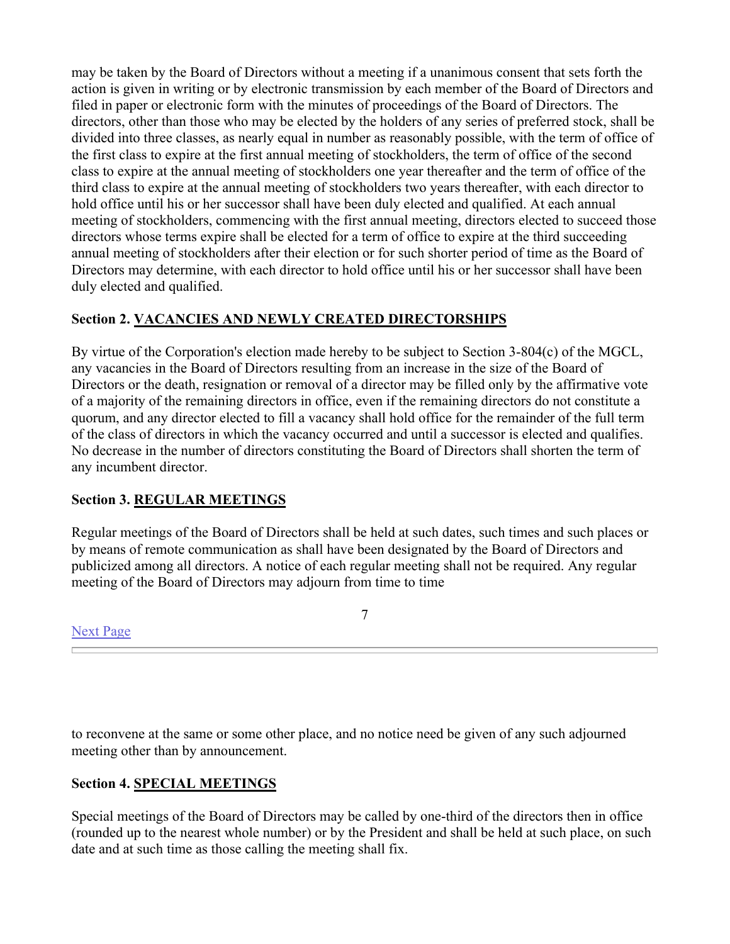may be taken by the Board of Directors without a meeting if a unanimous consent that sets forth the action is given in writing or by electronic transmission by each member of the Board of Directors and filed in paper or electronic form with the minutes of proceedings of the Board of Directors. The directors, other than those who may be elected by the holders of any series of preferred stock, shall be divided into three classes, as nearly equal in number as reasonably possible, with the term of office of the first class to expire at the first annual meeting of stockholders, the term of office of the second class to expire at the annual meeting of stockholders one year thereafter and the term of office of the third class to expire at the annual meeting of stockholders two years thereafter, with each director to hold office until his or her successor shall have been duly elected and qualified. At each annual meeting of stockholders, commencing with the first annual meeting, directors elected to succeed those directors whose terms expire shall be elected for a term of office to expire at the third succeeding annual meeting of stockholders after their election or for such shorter period of time as the Board of Directors may determine, with each director to hold office until his or her successor shall have been duly elected and qualified.

# **Section 2. VACANCIES AND NEWLY CREATED DIRECTORSHIPS**

By virtue of the Corporation's election made hereby to be subject to Section 3-804(c) of the MGCL, any vacancies in the Board of Directors resulting from an increase in the size of the Board of Directors or the death, resignation or removal of a director may be filled only by the affirmative vote of a majority of the remaining directors in office, even if the remaining directors do not constitute a quorum, and any director elected to fill a vacancy shall hold office for the remainder of the full term of the class of directors in which the vacancy occurred and until a successor is elected and qualifies. No decrease in the number of directors constituting the Board of Directors shall shorten the term of any incumbent director.

# **Section 3. REGULAR MEETINGS**

Regular meetings of the Board of Directors shall be held at such dates, such times and such places or by means of remote communication as shall have been designated by the Board of Directors and publicized among all directors. A notice of each regular meeting shall not be required. Any regular meeting of the Board of Directors may adjourn from time to time

7

Next Page

to reconvene at the same or some other place, and no notice need be given of any such adjourned meeting other than by announcement.

# **Section 4. SPECIAL MEETINGS**

Special meetings of the Board of Directors may be called by one-third of the directors then in office (rounded up to the nearest whole number) or by the President and shall be held at such place, on such date and at such time as those calling the meeting shall fix.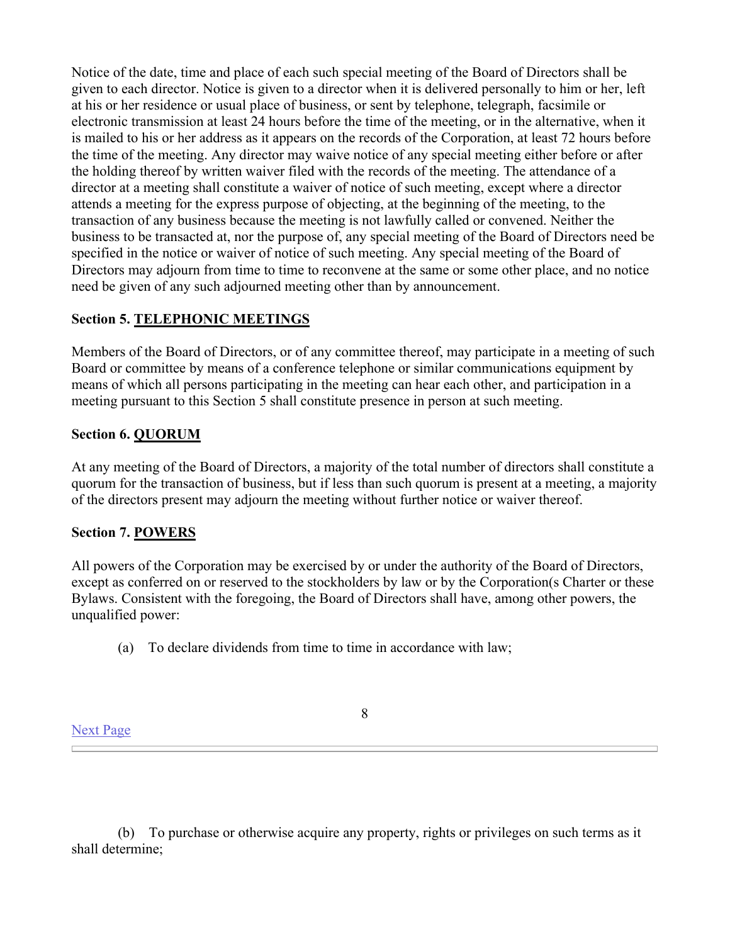Notice of the date, time and place of each such special meeting of the Board of Directors shall be given to each director. Notice is given to a director when it is delivered personally to him or her, left at his or her residence or usual place of business, or sent by telephone, telegraph, facsimile or electronic transmission at least 24 hours before the time of the meeting, or in the alternative, when it is mailed to his or her address as it appears on the records of the Corporation, at least 72 hours before the time of the meeting. Any director may waive notice of any special meeting either before or after the holding thereof by written waiver filed with the records of the meeting. The attendance of a director at a meeting shall constitute a waiver of notice of such meeting, except where a director attends a meeting for the express purpose of objecting, at the beginning of the meeting, to the transaction of any business because the meeting is not lawfully called or convened. Neither the business to be transacted at, nor the purpose of, any special meeting of the Board of Directors need be specified in the notice or waiver of notice of such meeting. Any special meeting of the Board of Directors may adjourn from time to time to reconvene at the same or some other place, and no notice need be given of any such adjourned meeting other than by announcement.

# **Section 5. TELEPHONIC MEETINGS**

Members of the Board of Directors, or of any committee thereof, may participate in a meeting of such Board or committee by means of a conference telephone or similar communications equipment by means of which all persons participating in the meeting can hear each other, and participation in a meeting pursuant to this Section 5 shall constitute presence in person at such meeting.

# **Section 6. QUORUM**

At any meeting of the Board of Directors, a majority of the total number of directors shall constitute a quorum for the transaction of business, but if less than such quorum is present at a meeting, a majority of the directors present may adjourn the meeting without further notice or waiver thereof.

# **Section 7. POWERS**

All powers of the Corporation may be exercised by or under the authority of the Board of Directors, except as conferred on or reserved to the stockholders by law or by the Corporation(s Charter or these Bylaws. Consistent with the foregoing, the Board of Directors shall have, among other powers, the unqualified power:

(a) To declare dividends from time to time in accordance with law;

8

 (b) To purchase or otherwise acquire any property, rights or privileges on such terms as it shall determine;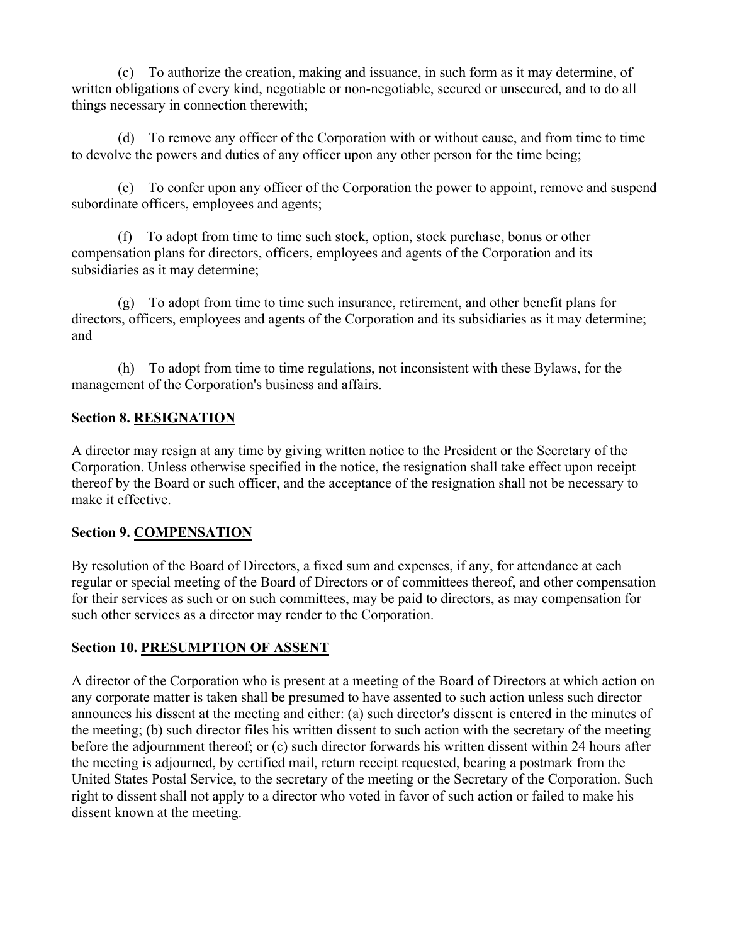(c) To authorize the creation, making and issuance, in such form as it may determine, of written obligations of every kind, negotiable or non-negotiable, secured or unsecured, and to do all things necessary in connection therewith;

 (d) To remove any officer of the Corporation with or without cause, and from time to time to devolve the powers and duties of any officer upon any other person for the time being;

 (e) To confer upon any officer of the Corporation the power to appoint, remove and suspend subordinate officers, employees and agents;

 (f) To adopt from time to time such stock, option, stock purchase, bonus or other compensation plans for directors, officers, employees and agents of the Corporation and its subsidiaries as it may determine;

 (g) To adopt from time to time such insurance, retirement, and other benefit plans for directors, officers, employees and agents of the Corporation and its subsidiaries as it may determine; and

 (h) To adopt from time to time regulations, not inconsistent with these Bylaws, for the management of the Corporation's business and affairs.

# **Section 8. RESIGNATION**

A director may resign at any time by giving written notice to the President or the Secretary of the Corporation. Unless otherwise specified in the notice, the resignation shall take effect upon receipt thereof by the Board or such officer, and the acceptance of the resignation shall not be necessary to make it effective.

# **Section 9. COMPENSATION**

By resolution of the Board of Directors, a fixed sum and expenses, if any, for attendance at each regular or special meeting of the Board of Directors or of committees thereof, and other compensation for their services as such or on such committees, may be paid to directors, as may compensation for such other services as a director may render to the Corporation.

# **Section 10. PRESUMPTION OF ASSENT**

A director of the Corporation who is present at a meeting of the Board of Directors at which action on any corporate matter is taken shall be presumed to have assented to such action unless such director announces his dissent at the meeting and either: (a) such director's dissent is entered in the minutes of the meeting; (b) such director files his written dissent to such action with the secretary of the meeting before the adjournment thereof; or (c) such director forwards his written dissent within 24 hours after the meeting is adjourned, by certified mail, return receipt requested, bearing a postmark from the United States Postal Service, to the secretary of the meeting or the Secretary of the Corporation. Such right to dissent shall not apply to a director who voted in favor of such action or failed to make his dissent known at the meeting.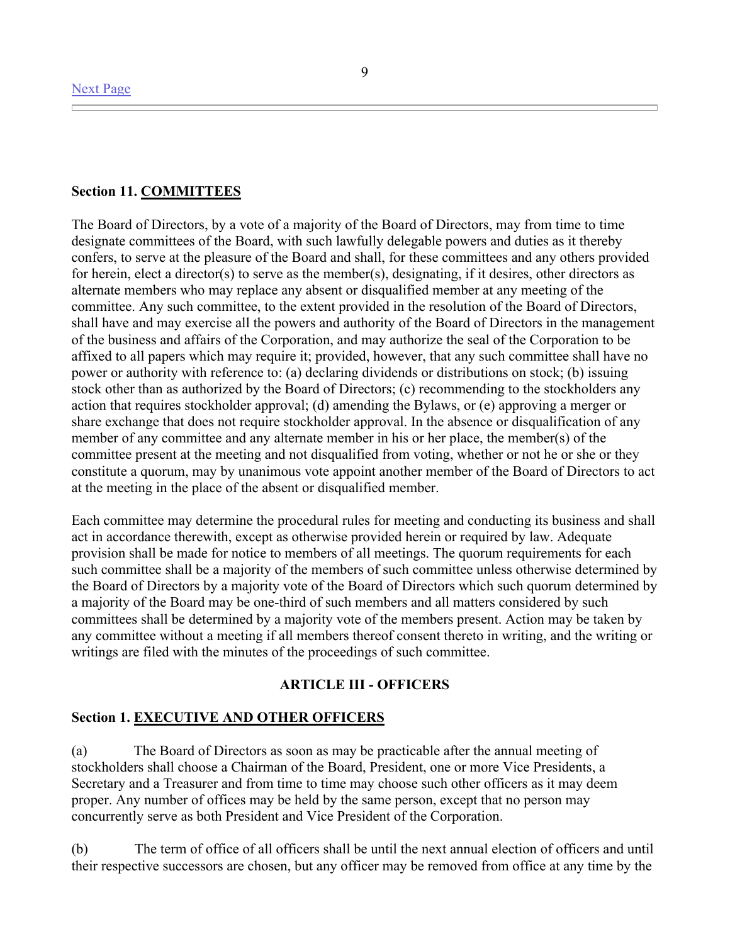# **Section 11. COMMITTEES**

The Board of Directors, by a vote of a majority of the Board of Directors, may from time to time designate committees of the Board, with such lawfully delegable powers and duties as it thereby confers, to serve at the pleasure of the Board and shall, for these committees and any others provided for herein, elect a director(s) to serve as the member(s), designating, if it desires, other directors as alternate members who may replace any absent or disqualified member at any meeting of the committee. Any such committee, to the extent provided in the resolution of the Board of Directors, shall have and may exercise all the powers and authority of the Board of Directors in the management of the business and affairs of the Corporation, and may authorize the seal of the Corporation to be affixed to all papers which may require it; provided, however, that any such committee shall have no power or authority with reference to: (a) declaring dividends or distributions on stock; (b) issuing stock other than as authorized by the Board of Directors; (c) recommending to the stockholders any action that requires stockholder approval; (d) amending the Bylaws, or (e) approving a merger or share exchange that does not require stockholder approval. In the absence or disqualification of any member of any committee and any alternate member in his or her place, the member(s) of the committee present at the meeting and not disqualified from voting, whether or not he or she or they constitute a quorum, may by unanimous vote appoint another member of the Board of Directors to act at the meeting in the place of the absent or disqualified member.

Each committee may determine the procedural rules for meeting and conducting its business and shall act in accordance therewith, except as otherwise provided herein or required by law. Adequate provision shall be made for notice to members of all meetings. The quorum requirements for each such committee shall be a majority of the members of such committee unless otherwise determined by the Board of Directors by a majority vote of the Board of Directors which such quorum determined by a majority of the Board may be one-third of such members and all matters considered by such committees shall be determined by a majority vote of the members present. Action may be taken by any committee without a meeting if all members thereof consent thereto in writing, and the writing or writings are filed with the minutes of the proceedings of such committee.

### **ARTICLE III - OFFICERS**

#### **Section 1. EXECUTIVE AND OTHER OFFICERS**

(a) The Board of Directors as soon as may be practicable after the annual meeting of stockholders shall choose a Chairman of the Board, President, one or more Vice Presidents, a Secretary and a Treasurer and from time to time may choose such other officers as it may deem proper. Any number of offices may be held by the same person, except that no person may concurrently serve as both President and Vice President of the Corporation.

(b) The term of office of all officers shall be until the next annual election of officers and until their respective successors are chosen, but any officer may be removed from office at any time by the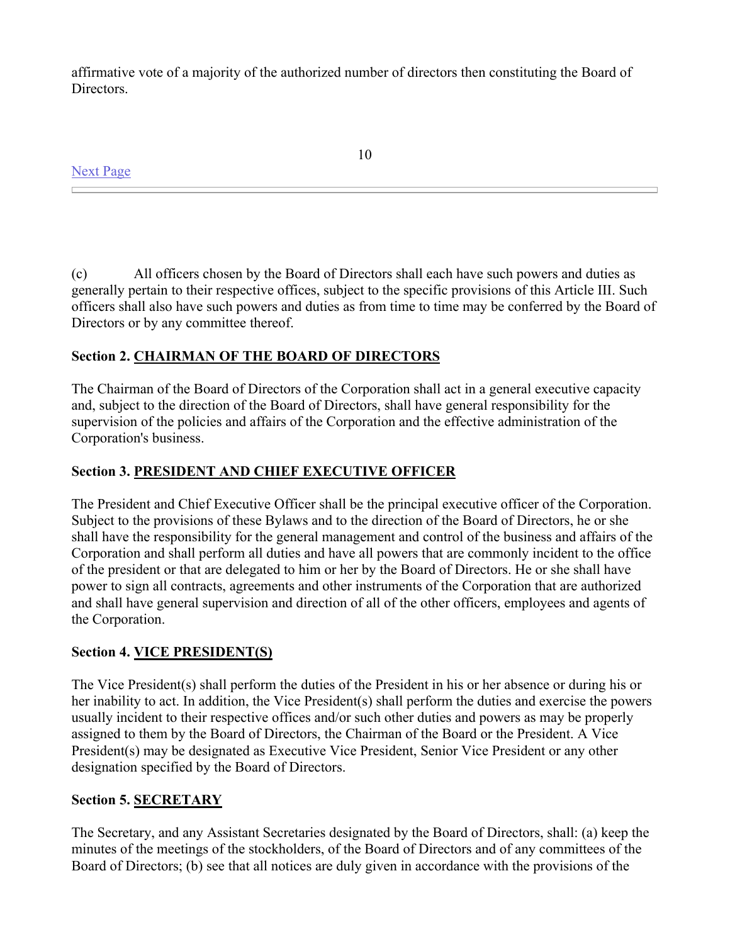affirmative vote of a majority of the authorized number of directors then constituting the Board of Directors.

Next Page

10

(c) All officers chosen by the Board of Directors shall each have such powers and duties as generally pertain to their respective offices, subject to the specific provisions of this Article III. Such officers shall also have such powers and duties as from time to time may be conferred by the Board of Directors or by any committee thereof.

# **Section 2. CHAIRMAN OF THE BOARD OF DIRECTORS**

The Chairman of the Board of Directors of the Corporation shall act in a general executive capacity and, subject to the direction of the Board of Directors, shall have general responsibility for the supervision of the policies and affairs of the Corporation and the effective administration of the Corporation's business.

# **Section 3. PRESIDENT AND CHIEF EXECUTIVE OFFICER**

The President and Chief Executive Officer shall be the principal executive officer of the Corporation. Subject to the provisions of these Bylaws and to the direction of the Board of Directors, he or she shall have the responsibility for the general management and control of the business and affairs of the Corporation and shall perform all duties and have all powers that are commonly incident to the office of the president or that are delegated to him or her by the Board of Directors. He or she shall have power to sign all contracts, agreements and other instruments of the Corporation that are authorized and shall have general supervision and direction of all of the other officers, employees and agents of the Corporation.

# **Section 4. VICE PRESIDENT(S)**

The Vice President(s) shall perform the duties of the President in his or her absence or during his or her inability to act. In addition, the Vice President(s) shall perform the duties and exercise the powers usually incident to their respective offices and/or such other duties and powers as may be properly assigned to them by the Board of Directors, the Chairman of the Board or the President. A Vice President(s) may be designated as Executive Vice President, Senior Vice President or any other designation specified by the Board of Directors.

# **Section 5. SECRETARY**

The Secretary, and any Assistant Secretaries designated by the Board of Directors, shall: (a) keep the minutes of the meetings of the stockholders, of the Board of Directors and of any committees of the Board of Directors; (b) see that all notices are duly given in accordance with the provisions of the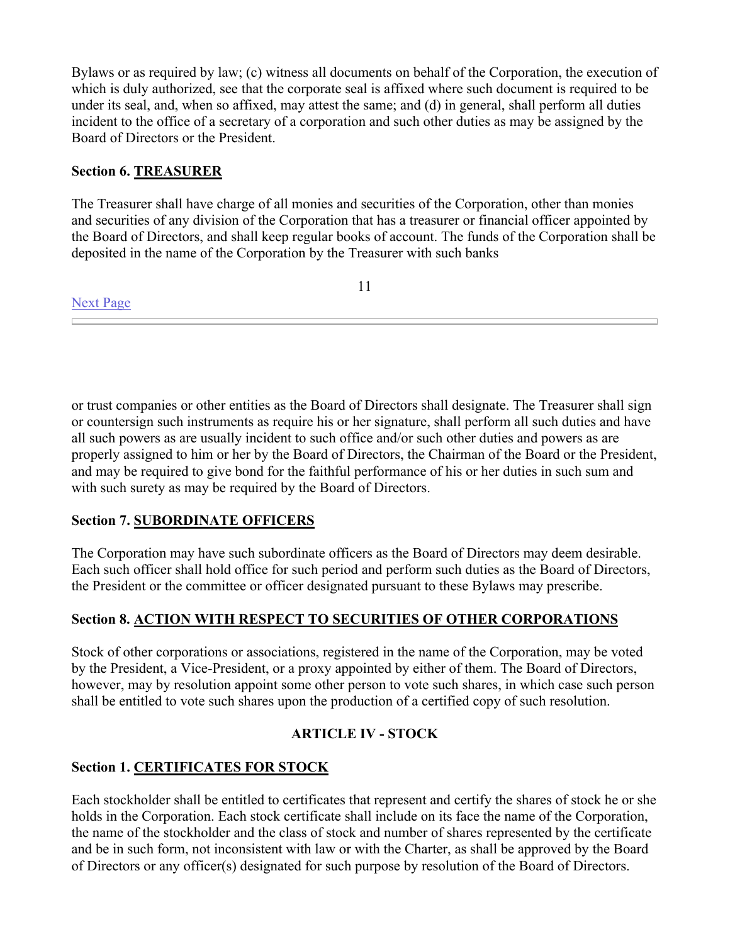Bylaws or as required by law; (c) witness all documents on behalf of the Corporation, the execution of which is duly authorized, see that the corporate seal is affixed where such document is required to be under its seal, and, when so affixed, may attest the same; and (d) in general, shall perform all duties incident to the office of a secretary of a corporation and such other duties as may be assigned by the Board of Directors or the President.

# **Section 6. TREASURER**

Next Page

The Treasurer shall have charge of all monies and securities of the Corporation, other than monies and securities of any division of the Corporation that has a treasurer or financial officer appointed by the Board of Directors, and shall keep regular books of account. The funds of the Corporation shall be deposited in the name of the Corporation by the Treasurer with such banks

11

or trust companies or other entities as the Board of Directors shall designate. The Treasurer shall sign or countersign such instruments as require his or her signature, shall perform all such duties and have all such powers as are usually incident to such office and/or such other duties and powers as are properly assigned to him or her by the Board of Directors, the Chairman of the Board or the President, and may be required to give bond for the faithful performance of his or her duties in such sum and with such surety as may be required by the Board of Directors.

# **Section 7. SUBORDINATE OFFICERS**

The Corporation may have such subordinate officers as the Board of Directors may deem desirable. Each such officer shall hold office for such period and perform such duties as the Board of Directors, the President or the committee or officer designated pursuant to these Bylaws may prescribe.

# **Section 8. ACTION WITH RESPECT TO SECURITIES OF OTHER CORPORATIONS**

Stock of other corporations or associations, registered in the name of the Corporation, may be voted by the President, a Vice-President, or a proxy appointed by either of them. The Board of Directors, however, may by resolution appoint some other person to vote such shares, in which case such person shall be entitled to vote such shares upon the production of a certified copy of such resolution.

# **ARTICLE IV - STOCK**

# **Section 1. CERTIFICATES FOR STOCK**

Each stockholder shall be entitled to certificates that represent and certify the shares of stock he or she holds in the Corporation. Each stock certificate shall include on its face the name of the Corporation, the name of the stockholder and the class of stock and number of shares represented by the certificate and be in such form, not inconsistent with law or with the Charter, as shall be approved by the Board of Directors or any officer(s) designated for such purpose by resolution of the Board of Directors.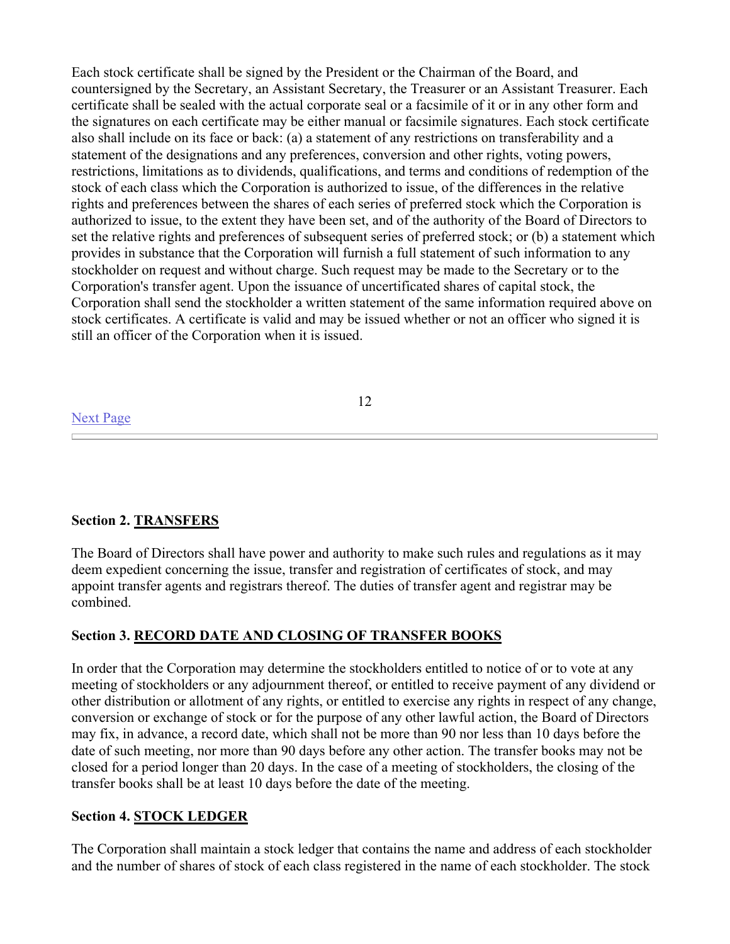Each stock certificate shall be signed by the President or the Chairman of the Board, and countersigned by the Secretary, an Assistant Secretary, the Treasurer or an Assistant Treasurer. Each certificate shall be sealed with the actual corporate seal or a facsimile of it or in any other form and the signatures on each certificate may be either manual or facsimile signatures. Each stock certificate also shall include on its face or back: (a) a statement of any restrictions on transferability and a statement of the designations and any preferences, conversion and other rights, voting powers, restrictions, limitations as to dividends, qualifications, and terms and conditions of redemption of the stock of each class which the Corporation is authorized to issue, of the differences in the relative rights and preferences between the shares of each series of preferred stock which the Corporation is authorized to issue, to the extent they have been set, and of the authority of the Board of Directors to set the relative rights and preferences of subsequent series of preferred stock; or (b) a statement which provides in substance that the Corporation will furnish a full statement of such information to any stockholder on request and without charge. Such request may be made to the Secretary or to the Corporation's transfer agent. Upon the issuance of uncertificated shares of capital stock, the Corporation shall send the stockholder a written statement of the same information required above on stock certificates. A certificate is valid and may be issued whether or not an officer who signed it is still an officer of the Corporation when it is issued.

### 12

#### Next Page

### **Section 2. TRANSFERS**

The Board of Directors shall have power and authority to make such rules and regulations as it may deem expedient concerning the issue, transfer and registration of certificates of stock, and may appoint transfer agents and registrars thereof. The duties of transfer agent and registrar may be combined.

### **Section 3. RECORD DATE AND CLOSING OF TRANSFER BOOKS**

In order that the Corporation may determine the stockholders entitled to notice of or to vote at any meeting of stockholders or any adjournment thereof, or entitled to receive payment of any dividend or other distribution or allotment of any rights, or entitled to exercise any rights in respect of any change, conversion or exchange of stock or for the purpose of any other lawful action, the Board of Directors may fix, in advance, a record date, which shall not be more than 90 nor less than 10 days before the date of such meeting, nor more than 90 days before any other action. The transfer books may not be closed for a period longer than 20 days. In the case of a meeting of stockholders, the closing of the transfer books shall be at least 10 days before the date of the meeting.

### **Section 4. STOCK LEDGER**

The Corporation shall maintain a stock ledger that contains the name and address of each stockholder and the number of shares of stock of each class registered in the name of each stockholder. The stock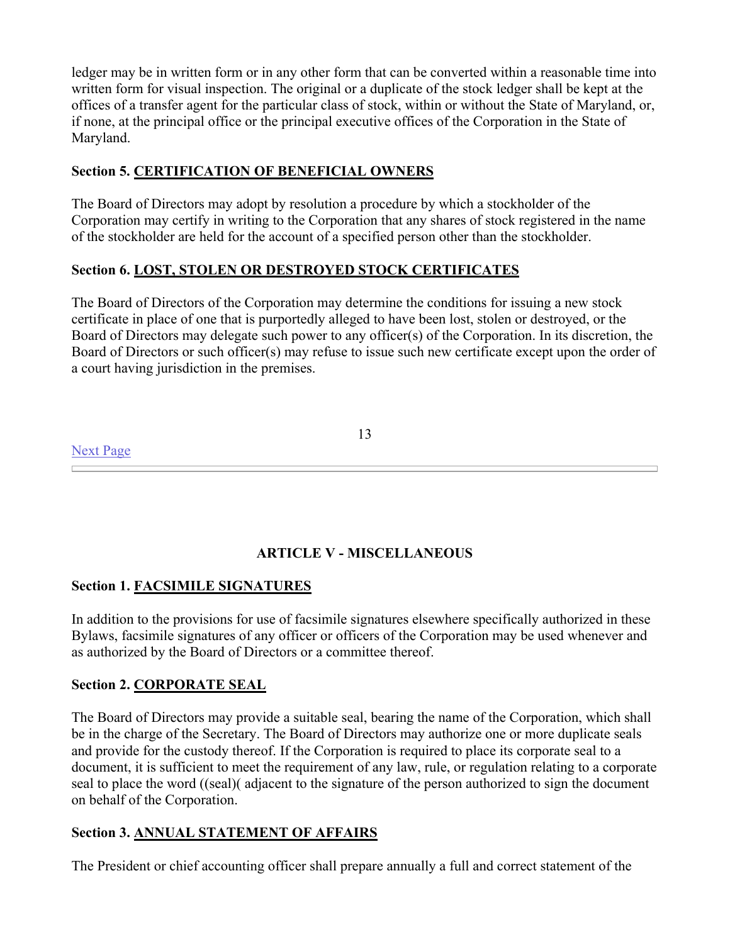ledger may be in written form or in any other form that can be converted within a reasonable time into written form for visual inspection. The original or a duplicate of the stock ledger shall be kept at the offices of a transfer agent for the particular class of stock, within or without the State of Maryland, or, if none, at the principal office or the principal executive offices of the Corporation in the State of Maryland.

# **Section 5. CERTIFICATION OF BENEFICIAL OWNERS**

The Board of Directors may adopt by resolution a procedure by which a stockholder of the Corporation may certify in writing to the Corporation that any shares of stock registered in the name of the stockholder are held for the account of a specified person other than the stockholder.

# **Section 6. LOST, STOLEN OR DESTROYED STOCK CERTIFICATES**

The Board of Directors of the Corporation may determine the conditions for issuing a new stock certificate in place of one that is purportedly alleged to have been lost, stolen or destroyed, or the Board of Directors may delegate such power to any officer(s) of the Corporation. In its discretion, the Board of Directors or such officer(s) may refuse to issue such new certificate except upon the order of a court having jurisdiction in the premises.

Next Page

13

# **ARTICLE V - MISCELLANEOUS**

# **Section 1. FACSIMILE SIGNATURES**

In addition to the provisions for use of facsimile signatures elsewhere specifically authorized in these Bylaws, facsimile signatures of any officer or officers of the Corporation may be used whenever and as authorized by the Board of Directors or a committee thereof.

# **Section 2. CORPORATE SEAL**

The Board of Directors may provide a suitable seal, bearing the name of the Corporation, which shall be in the charge of the Secretary. The Board of Directors may authorize one or more duplicate seals and provide for the custody thereof. If the Corporation is required to place its corporate seal to a document, it is sufficient to meet the requirement of any law, rule, or regulation relating to a corporate seal to place the word ((seal)( adjacent to the signature of the person authorized to sign the document on behalf of the Corporation.

# **Section 3. ANNUAL STATEMENT OF AFFAIRS**

The President or chief accounting officer shall prepare annually a full and correct statement of the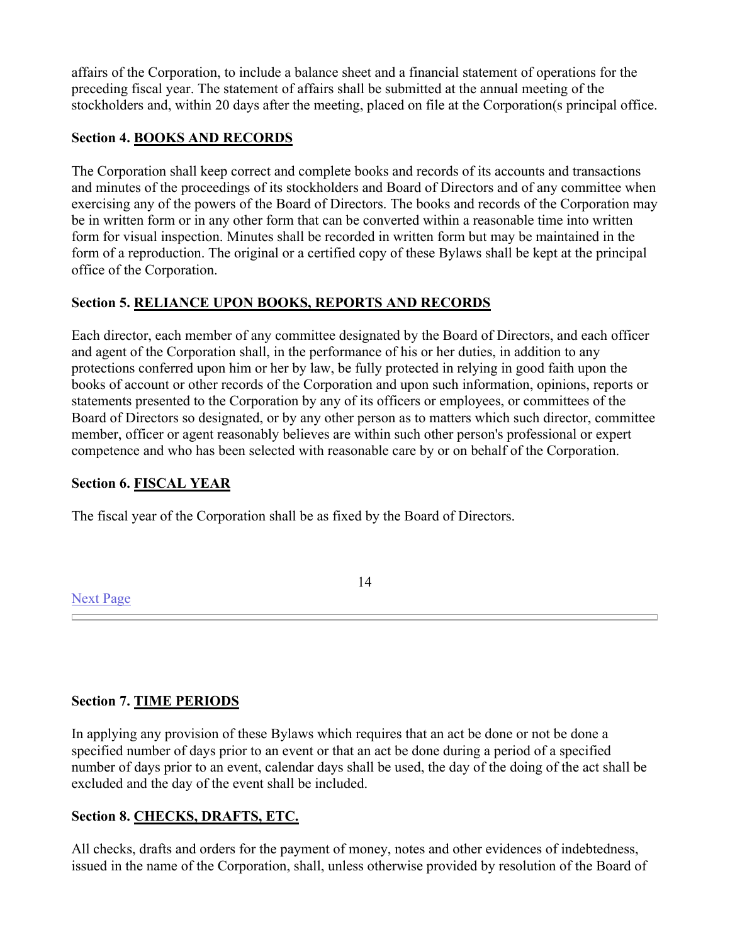affairs of the Corporation, to include a balance sheet and a financial statement of operations for the preceding fiscal year. The statement of affairs shall be submitted at the annual meeting of the stockholders and, within 20 days after the meeting, placed on file at the Corporation(s principal office.

# **Section 4. BOOKS AND RECORDS**

The Corporation shall keep correct and complete books and records of its accounts and transactions and minutes of the proceedings of its stockholders and Board of Directors and of any committee when exercising any of the powers of the Board of Directors. The books and records of the Corporation may be in written form or in any other form that can be converted within a reasonable time into written form for visual inspection. Minutes shall be recorded in written form but may be maintained in the form of a reproduction. The original or a certified copy of these Bylaws shall be kept at the principal office of the Corporation.

# **Section 5. RELIANCE UPON BOOKS, REPORTS AND RECORDS**

Each director, each member of any committee designated by the Board of Directors, and each officer and agent of the Corporation shall, in the performance of his or her duties, in addition to any protections conferred upon him or her by law, be fully protected in relying in good faith upon the books of account or other records of the Corporation and upon such information, opinions, reports or statements presented to the Corporation by any of its officers or employees, or committees of the Board of Directors so designated, or by any other person as to matters which such director, committee member, officer or agent reasonably believes are within such other person's professional or expert competence and who has been selected with reasonable care by or on behalf of the Corporation.

# **Section 6. FISCAL YEAR**

The fiscal year of the Corporation shall be as fixed by the Board of Directors.

# Next Page

14

# **Section 7. TIME PERIODS**

In applying any provision of these Bylaws which requires that an act be done or not be done a specified number of days prior to an event or that an act be done during a period of a specified number of days prior to an event, calendar days shall be used, the day of the doing of the act shall be excluded and the day of the event shall be included.

# **Section 8. CHECKS, DRAFTS, ETC.**

All checks, drafts and orders for the payment of money, notes and other evidences of indebtedness, issued in the name of the Corporation, shall, unless otherwise provided by resolution of the Board of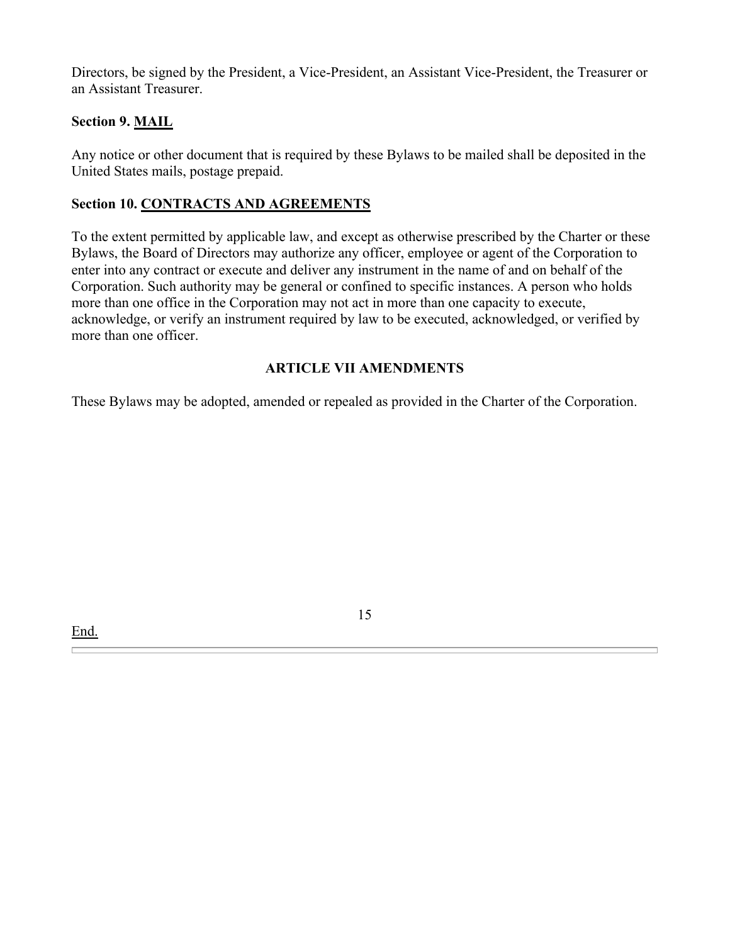Directors, be signed by the President, a Vice-President, an Assistant Vice-President, the Treasurer or an Assistant Treasurer.

# **Section 9. MAIL**

Any notice or other document that is required by these Bylaws to be mailed shall be deposited in the United States mails, postage prepaid.

# **Section 10. CONTRACTS AND AGREEMENTS**

To the extent permitted by applicable law, and except as otherwise prescribed by the Charter or these Bylaws, the Board of Directors may authorize any officer, employee or agent of the Corporation to enter into any contract or execute and deliver any instrument in the name of and on behalf of the Corporation. Such authority may be general or confined to specific instances. A person who holds more than one office in the Corporation may not act in more than one capacity to execute, acknowledge, or verify an instrument required by law to be executed, acknowledged, or verified by more than one officer.

# **ARTICLE VII AMENDMENTS**

These Bylaws may be adopted, amended or repealed as provided in the Charter of the Corporation.

15